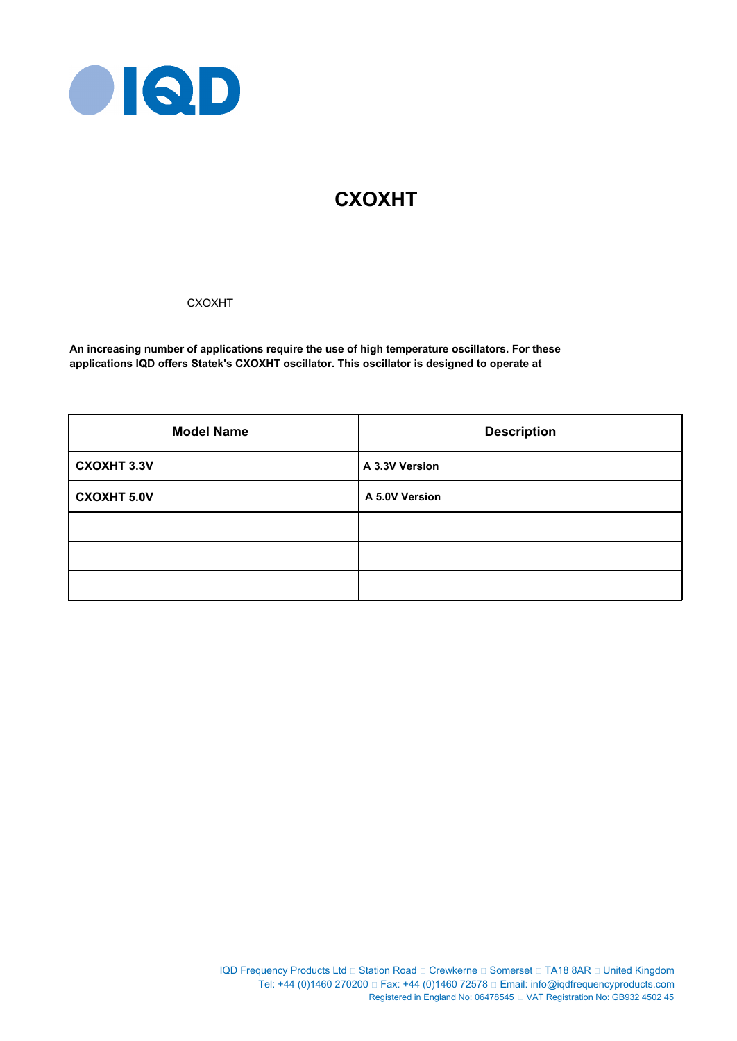

# **CXOXHT**

CXOXHT

**An increasing number of applications require the use of high temperature oscillators. For these applications IQD offers Statek's CXOXHT oscillator. This oscillator is designed to operate at**

| <b>Model Name</b>  | <b>Description</b> |  |  |
|--------------------|--------------------|--|--|
| <b>CXOXHT 3.3V</b> | A 3.3V Version     |  |  |
| <b>CXOXHT 5.0V</b> | A 5.0V Version     |  |  |
|                    |                    |  |  |
|                    |                    |  |  |
|                    |                    |  |  |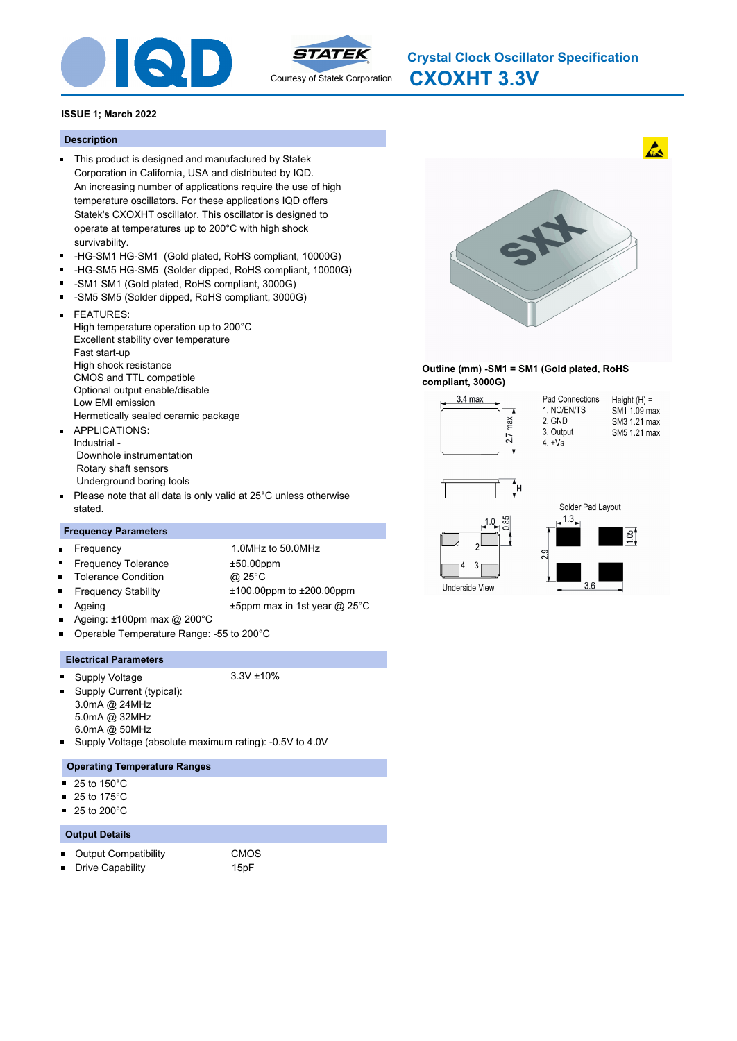



## **ISSUE 1; March 2022**

#### **Description**

- This product is designed and manufactured by Statek Corporation in California, USA and distributed by IQD. An increasing number of applications require the use of high temperature oscillators. For these applications IQD offers Statek's CXOXHT oscillator. This oscillator is designed to operate at temperatures up to 200°C with high shock survivability.
- -HG-SM1 HG-SM1 (Gold plated, RoHS compliant, 10000G)  $\blacksquare$
- $\blacksquare$ -HG-SM5 HG-SM5 (Solder dipped, RoHS compliant, 10000G)
- -SM1 SM1 (Gold plated, RoHS compliant, 3000G)
- $\blacksquare$ -SM5 SM5 (Solder dipped, RoHS compliant, 3000G)
- FEATURES:  $\blacksquare$ High temperature operation up to 200°C Excellent stability over temperature Fast start-up High shock resistance CMOS and TTL compatible Optional output enable/disable Low EMI emission Hermetically sealed ceramic package
- **APPLICATIONS:** Industrial - Downhole instrumentation Rotary shaft sensors Underground boring tools
- Please note that all data is only valid at 25°C unless otherwise  $\blacksquare$ stated.

#### **Frequency Parameters**

- Frequency 1.0MHz to 50.0MHz  $\blacksquare$ Frequency Tolerance ±50.00ppm  $\blacksquare$ Tolerance Condition @ 25°C  $\blacksquare$  $\blacksquare$ Frequency Stability ±100.00ppm to ±200.00ppm Ageing the top of the top of the top of the top of the top of the top of the top of the top of the top of the t Ageing: ±100pm max @ 200°C
- 
- Operable Temperature Range: -55 to 200°C

#### **Electrical Parameters**

Supply Voltage 3.3V ±10%  $\blacksquare$ ä,

- Supply Current (typical): 3.0mA @ 24MHz
- 5.0mA @ 32MHz 6.0mA @ 50MHz

Supply Voltage (absolute maximum rating): -0.5V to 4.0V

#### **Operating Temperature Ranges**

- 25 to 150°C
- 25 to 175°C
- $\blacksquare$  25 to 200 $^{\circ}$ C

# **Output Details**

- $\blacksquare$ Output Compatibility CMOS
- Drive Capability 15pF



#### **Outline (mm) -SM1 = SM1 (Gold plated, RoHS compliant, 3000G)**



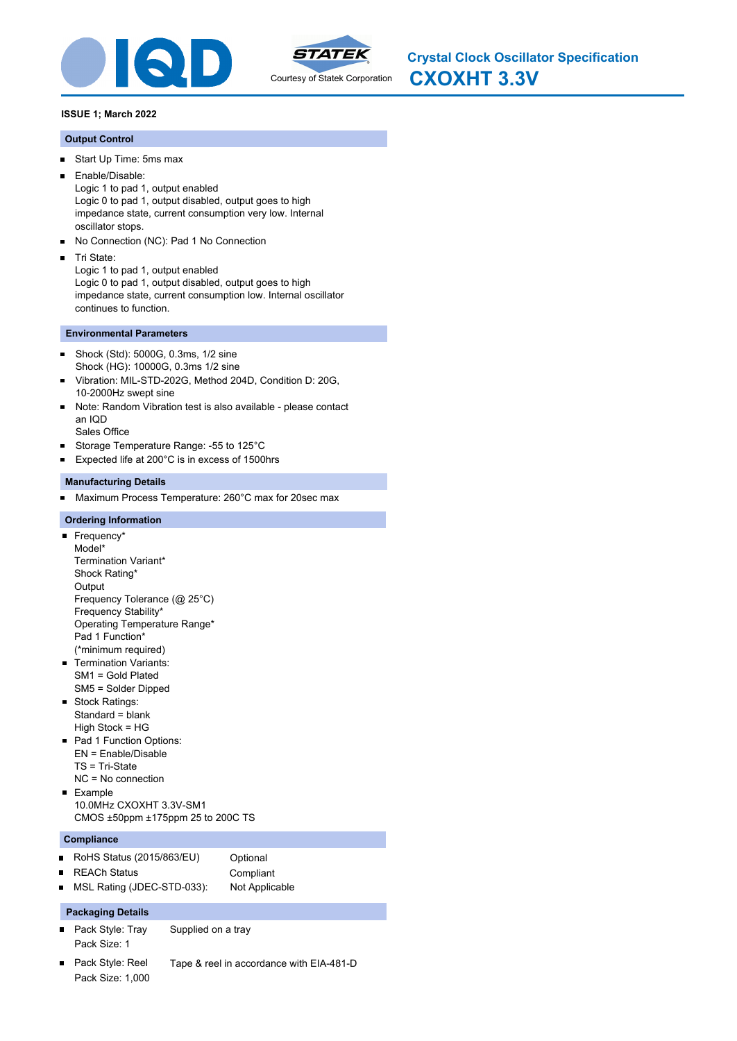



**CXOXHT 3.3V Crystal Clock Oscillator Specification**

# **ISSUE 1; March 2022**

# **Output Control**

- Start Up Time: 5ms max  $\blacksquare$
- Enable/Disable: п Logic 1 to pad 1, output enabled Logic 0 to pad 1, output disabled, output goes to high impedance state, current consumption very low. Internal oscillator stops.
- $\blacksquare$ No Connection (NC): Pad 1 No Connection
- Tri State:

Logic 1 to pad 1, output enabled Logic 0 to pad 1, output disabled, output goes to high impedance state, current consumption low. Internal oscillator continues to function.

# **Environmental Parameters**

- Shock (Std): 5000G, 0.3ms, 1/2 sine  $\blacksquare$ Shock (HG): 10000G, 0.3ms 1/2 sine
- Vibration: MIL-STD-202G, Method 204D, Condition D: 20G, 10-2000Hz swept sine
- Note: Random Vibration test is also available please contact an IQD
- Sales Office
- $\blacksquare$ Storage Temperature Range: -55 to 125°C
- $\blacksquare$ Expected life at 200°C is in excess of 1500hrs

# **Manufacturing Details**

Maximum Process Temperature: 260°C max for 20sec max

## **Ordering Information**

- Frequency\* Model\* Termination Variant\* Shock Rating\* **Output** Frequency Tolerance (@ 25°C) Frequency Stability\* Operating Temperature Range\* Pad 1 Function\* (\*minimum required)
- **Termination Variants:** SM1 = Gold Plated SM5 = Solder Dipped
- Stock Ratings: Standard = blank High Stock = HG
- Pad 1 Function Options: EN = Enable/Disable TS = Tri-State NC = No connection
- **Example** 10.0MHz CXOXHT 3.3V-SM1 CMOS ±50ppm ±175ppm 25 to 200C TS

# **Compliance**

- RoHS Status (2015/863/EU) Optional  $\blacksquare$
- REACh Status **Compliant**  $\blacksquare$
- MSL Rating (JDEC-STD-033): Not Applicable

# **Packaging Details**

- Pack Style: Tray Supplied on a tray Pack Size: 1
- Pack Style: Reel Tape & reel in accordance with EIA-481-D Pack Size: 1,000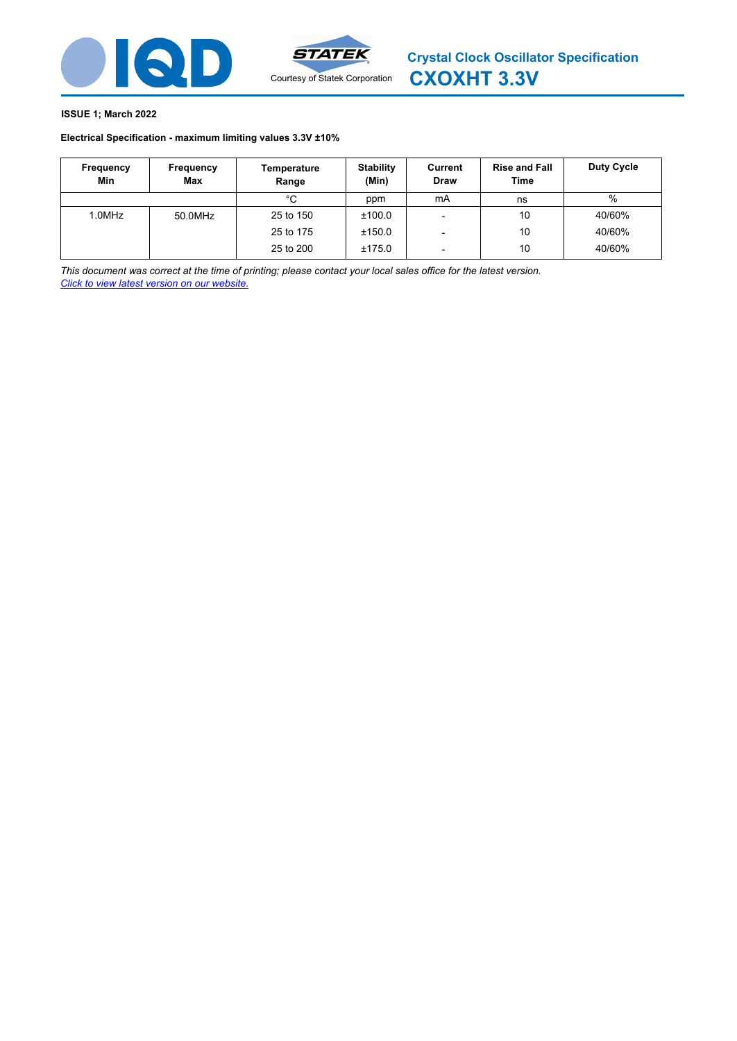



#### **ISSUE 1; March 2022**

#### **Electrical Specification - maximum limiting values [3.3V ±10%](http://www.statek.com)**

| Frequency<br>Min | Frequency<br>Max | Temperature<br>Range | <b>Stability</b><br>(Min) | Current<br><b>Draw</b>   | <b>Rise and Fall</b><br>Time | <b>Duty Cycle</b> |
|------------------|------------------|----------------------|---------------------------|--------------------------|------------------------------|-------------------|
|                  |                  | °C                   | ppm                       | mA                       | ns                           | %                 |
| 1.0MHz           | 50.0MHz          | 25 to 150            | ±100.0                    | $\overline{\phantom{0}}$ | 10                           | 40/60%            |
|                  |                  | 25 to 175            | ±150.0                    | $\overline{\phantom{0}}$ | 10                           | 40/60%            |
|                  |                  | 25 to 200            | ±175.0                    | $\overline{\phantom{a}}$ | 10                           | 40/60%            |

*This document was correct at the time of printing; please contact your local sales office for the latest version. Click to view latest version on our website.*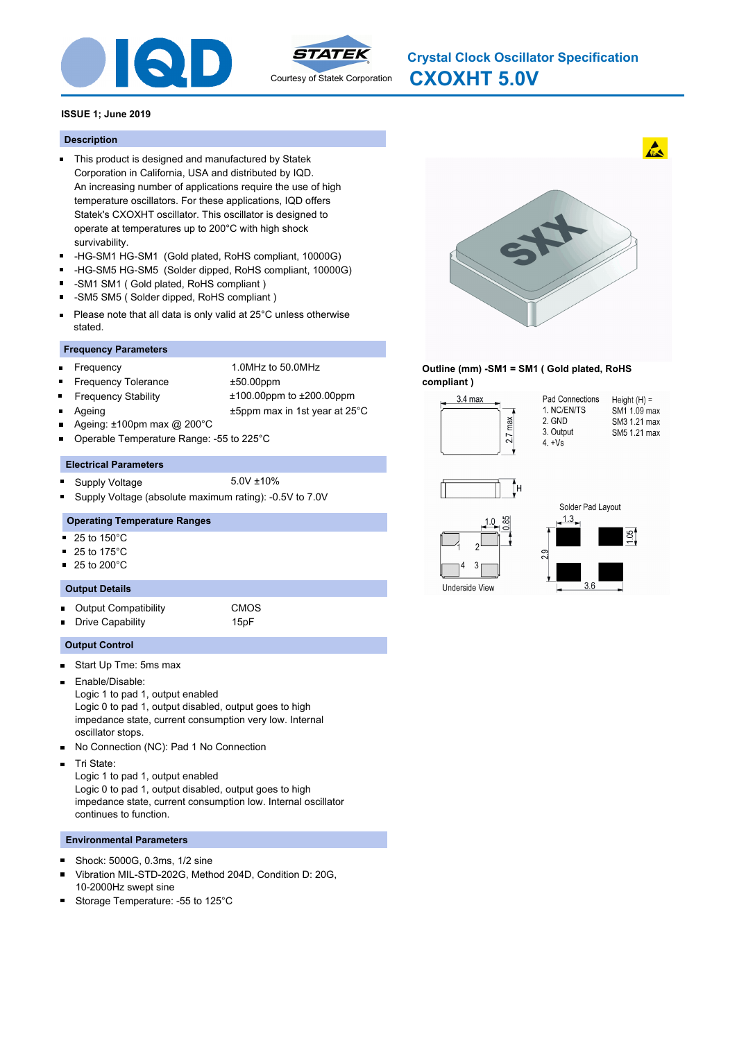



# **CXOXHT 5.0V Crystal Clock Oscillator Specification**

#### **ISSUE 1; June 2019**

#### **Description**

- This product is designed and manufactured by Statek Corporation in California, USA and distributed by IQD. An increasing number of applications require the use of high temperature oscillators. For these applications, IQD offers Statek's CXOXHT oscillator. This oscillator is designed to operate at temperatures up to 200°C with high shock survivability.
- -HG-SM1 HG-SM1 (Gold plated, RoHS compliant, 10000G)  $\blacksquare$
- $\blacksquare$ -HG-SM5 HG-SM5 (Solder dipped, RoHS compliant, 10000G)
- -SM1 SM1 ( Gold plated, RoHS compliant )
- -SM5 SM5 ( Solder dipped, RoHS compliant )  $\blacksquare$
- Please note that all data is only valid at 25°C unless otherwise  $\blacksquare$ stated.

## **Frequency Parameters**

- Frequency 1.0MHz to 50.0MHz
	-
- Frequency Tolerance ±50.00ppm
	- Frequency Stability ±100.00ppm to ±200.00ppm
- - Ageing **EXALL** 25<sup>°</sup>C **±5ppm** max in 1st year at 25<sup>°</sup>C
- Ageing: ±100pm max @ 200°C Operable Temperature Range: -55 to 225°C

#### **Electrical Parameters**

- Supply Voltage 5.0V ±10% m.
- Supply Voltage (absolute maximum rating): -0.5V to 7.0V

#### **Operating Temperature Ranges**

- 25 to 150°C
- 25 to 175°C
- 25 to 200°C

#### **Output Details**

 $\blacksquare$ 

Output Compatibility CMOS  $\blacksquare$ 

Drive Capability **15pF** 

- **Output Control**
- Start Up Tme: 5ms max  $\blacksquare$
- Enable/Disable:  $\blacksquare$ Logic 1 to pad 1, output enabled Logic 0 to pad 1, output disabled, output goes to high impedance state, current consumption very low. Internal oscillator stops.
- No Connection (NC): Pad 1 No Connection  $\blacksquare$
- $\blacksquare$ Tri State:

Logic 1 to pad 1, output enabled Logic 0 to pad 1, output disabled, output goes to high impedance state, current consumption low. Internal oscillator continues to function.

#### **Environmental Parameters**

- Shock: 5000G, 0.3ms, 1/2 sine  $\blacksquare$
- Vibration MIL-STD-202G, Method 204D, Condition D: 20G, 10-2000Hz swept sine
- Storage Temperature: -55 to 125°C



#### **Outline (mm) -SM1 = SM1 ( Gold plated, RoHS compliant )**



Underside View